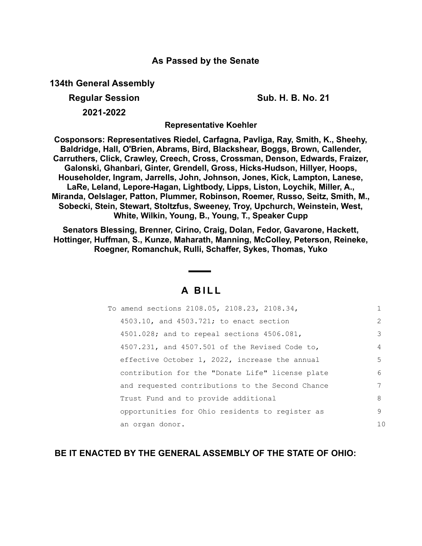## **As Passed by the Senate**

**134th General Assembly**

**Regular Session Sub. H. B. No. 21 2021-2022**

**Representative Koehler**

**Cosponsors: Representatives Riedel, Carfagna, Pavliga, Ray, Smith, K., Sheehy, Baldridge, Hall, O'Brien, Abrams, Bird, Blackshear, Boggs, Brown, Callender, Carruthers, Click, Crawley, Creech, Cross, Crossman, Denson, Edwards, Fraizer, Galonski, Ghanbari, Ginter, Grendell, Gross, Hicks-Hudson, Hillyer, Hoops, Householder, Ingram, Jarrells, John, Johnson, Jones, Kick, Lampton, Lanese, LaRe, Leland, Lepore-Hagan, Lightbody, Lipps, Liston, Loychik, Miller, A., Miranda, Oelslager, Patton, Plummer, Robinson, Roemer, Russo, Seitz, Smith, M., Sobecki, Stein, Stewart, Stoltzfus, Sweeney, Troy, Upchurch, Weinstein, West, White, Wilkin, Young, B., Young, T., Speaker Cupp**

**Senators Blessing, Brenner, Cirino, Craig, Dolan, Fedor, Gavarone, Hackett, Hottinger, Huffman, S., Kunze, Maharath, Manning, McColley, Peterson, Reineke, Roegner, Romanchuk, Rulli, Schaffer, Sykes, Thomas, Yuko**

# **A B I L L**

| To amend sections 2108.05, 2108.23, 2108.34,        |               |
|-----------------------------------------------------|---------------|
| 4503.10, and 4503.721; to enact section             | $\mathcal{L}$ |
| $4501.028$ ; and to repeal sections $4506.081$ ,    | 3             |
| $4507.231$ , and $4507.501$ of the Revised Code to, | 4             |
| effective October 1, 2022, increase the annual      | 5.            |
| contribution for the "Donate Life" license plate    | 6             |
| and requested contributions to the Second Chance    | 7             |
| Trust Fund and to provide additional                | 8             |
| opportunities for Ohio residents to register as     | 9             |
| an organ donor.                                     | 10            |

## **BE IT ENACTED BY THE GENERAL ASSEMBLY OF THE STATE OF OHIO:**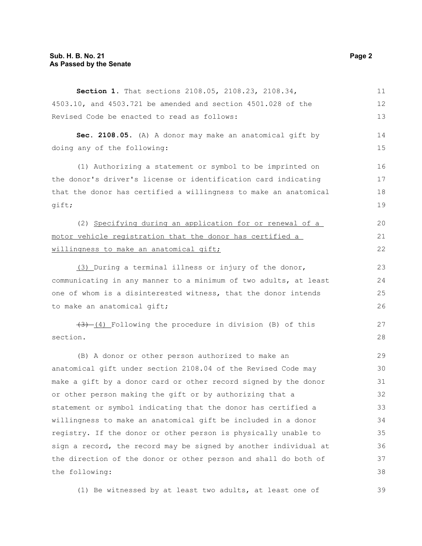### **Sub. H. B. No. 21 Page 2 As Passed by the Senate**

| Section 1. That sections 2108.05, 2108.23, 2108.34,              | 11 |
|------------------------------------------------------------------|----|
| 4503.10, and 4503.721 be amended and section 4501.028 of the     | 12 |
| Revised Code be enacted to read as follows:                      | 13 |
| Sec. 2108.05. (A) A donor may make an anatomical gift by         | 14 |
| doing any of the following:                                      | 15 |
| (1) Authorizing a statement or symbol to be imprinted on         | 16 |
| the donor's driver's license or identification card indicating   | 17 |
| that the donor has certified a willingness to make an anatomical | 18 |
| gift;                                                            | 19 |
| (2) Specifying during an application for or renewal of a         | 20 |
| motor vehicle registration that the donor has certified a        | 21 |
| willingness to make an anatomical gift;                          | 22 |
| (3) During a terminal illness or injury of the donor,            | 23 |
| communicating in any manner to a minimum of two adults, at least | 24 |
| one of whom is a disinterested witness, that the donor intends   | 25 |
| to make an anatomical gift;                                      | 26 |
| $(3)$ (4) Following the procedure in division (B) of this        | 27 |
| section.                                                         | 28 |
| (B) A donor or other person authorized to make an                | 29 |
| anatomical gift under section 2108.04 of the Revised Code may    | 30 |
| make a gift by a donor card or other record signed by the donor  | 31 |
| or other person making the gift or by authorizing that a         | 32 |
| statement or symbol indicating that the donor has certified a    | 33 |
| willingness to make an anatomical gift be included in a donor    | 34 |
| registry. If the donor or other person is physically unable to   | 35 |
| sign a record, the record may be signed by another individual at | 36 |
| the direction of the donor or other person and shall do both of  | 37 |
| the following:                                                   | 38 |

(1) Be witnessed by at least two adults, at least one of

39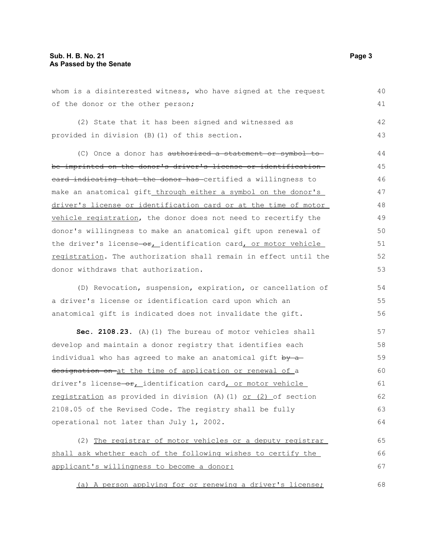whom is a disinterested witness, who have signed at the request of the donor or the other person; (2) State that it has been signed and witnessed as provided in division (B)(1) of this section. (C) Once a donor has authorized a statement or symbol to be imprinted on the donor's driver's license or identification eard indicating that the donor has certified a willingness to make an anatomical gift through either a symbol on the donor's driver's license or identification card or at the time of motor vehicle registration, the donor does not need to recertify the donor's willingness to make an anatomical gift upon renewal of the driver's license $-\theta$ ; identification card, or motor vehicle registration. The authorization shall remain in effect until the donor withdraws that authorization. (D) Revocation, suspension, expiration, or cancellation of a driver's license or identification card upon which an anatomical gift is indicated does not invalidate the gift. **Sec. 2108.23.** (A)(1) The bureau of motor vehicles shall develop and maintain a donor registry that identifies each individual who has agreed to make an anatomical gift by adesignation on-at the time of application or renewal of a driver's license-or, identification card, or motor vehicle registration as provided in division (A)(1) or (2) of section 2108.05 of the Revised Code. The registry shall be fully operational not later than July 1, 2002. (2) The registrar of motor vehicles or a deputy registrar shall ask whether each of the following wishes to certify the applicant's willingness to become a donor: (a) A person applying for or renewing a driver's license; 40 41 42 43 44 45 46 47 48 49 50 51 52 53 54 55 56 57 58 59 60 61 62 63 64 65 66 67 68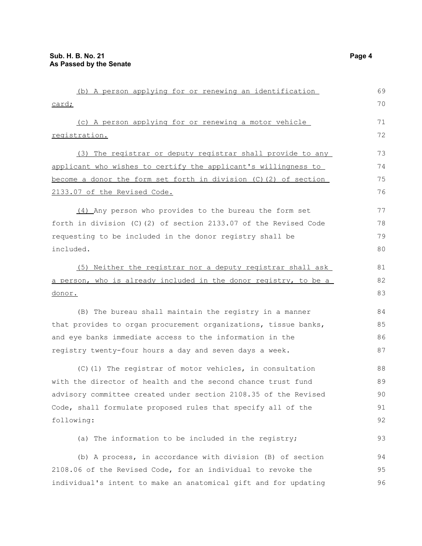| (b) A person applying for or renewing an identification          | 69 |
|------------------------------------------------------------------|----|
| card;                                                            | 70 |
| (c) A person applying for or renewing a motor vehicle            | 71 |
| registration.                                                    | 72 |
| (3) The registrar or deputy registrar shall provide to any       | 73 |
| applicant who wishes to certify the applicant's willingness to   | 74 |
| become a donor the form set forth in division (C) (2) of section | 75 |
| 2133.07 of the Revised Code.                                     | 76 |
| (4) Any person who provides to the bureau the form set           | 77 |
| forth in division (C)(2) of section 2133.07 of the Revised Code  | 78 |
| requesting to be included in the donor registry shall be         | 79 |
| included.                                                        | 80 |
| (5) Neither the registrar nor a deputy registrar shall ask       | 81 |
| a person, who is already included in the donor registry, to be a | 82 |
| <u>donor.</u>                                                    |    |
| (B) The bureau shall maintain the registry in a manner           | 84 |
| that provides to organ procurement organizations, tissue banks,  | 85 |
| and eye banks immediate access to the information in the         | 86 |
| registry twenty-four hours a day and seven days a week.          | 87 |
| (C)(1) The registrar of motor vehicles, in consultation          | 88 |
| with the director of health and the second chance trust fund     | 89 |
| advisory committee created under section 2108.35 of the Revised  | 90 |
| Code, shall formulate proposed rules that specify all of the     | 91 |
| following:                                                       | 92 |
| (a) The information to be included in the registry;              | 93 |
| (b) A process, in accordance with division (B) of section        | 94 |
| 2108.06 of the Revised Code, for an individual to revoke the     | 95 |
| individual's intent to make an anatomical gift and for updating  | 96 |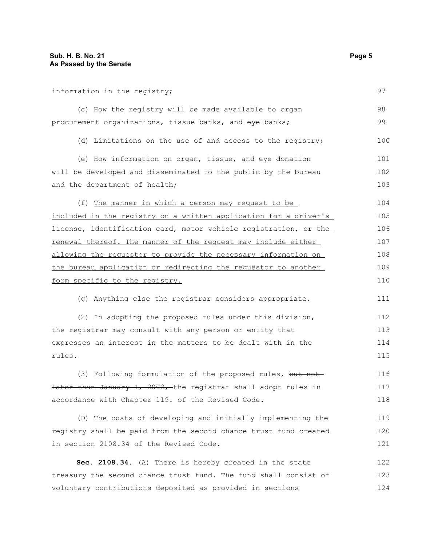information in the registry; (c) How the registry will be made available to organ procurement organizations, tissue banks, and eye banks; (d) Limitations on the use of and access to the registry; (e) How information on organ, tissue, and eye donation will be developed and disseminated to the public by the bureau and the department of health; (f) The manner in which a person may request to be included in the registry on a written application for a driver's license, identification card, motor vehicle registration, or the renewal thereof. The manner of the request may include either allowing the requestor to provide the necessary information on the bureau application or redirecting the requestor to another form specific to the registry. (g) Anything else the registrar considers appropriate. (2) In adopting the proposed rules under this division, the registrar may consult with any person or entity that expresses an interest in the matters to be dealt with in the rules. (3) Following formulation of the proposed rules, but notlater than January 1, 2002, the registrar shall adopt rules in accordance with Chapter 119. of the Revised Code. (D) The costs of developing and initially implementing the registry shall be paid from the second chance trust fund created in section 2108.34 of the Revised Code. **Sec. 2108.34.** (A) There is hereby created in the state treasury the second chance trust fund. The fund shall consist of 97 98 99 100 101 102 103 104 105 106 107 108 109 110 111 112 113 114 115 116 117 118 119 120 121 122 123

voluntary contributions deposited as provided in sections 124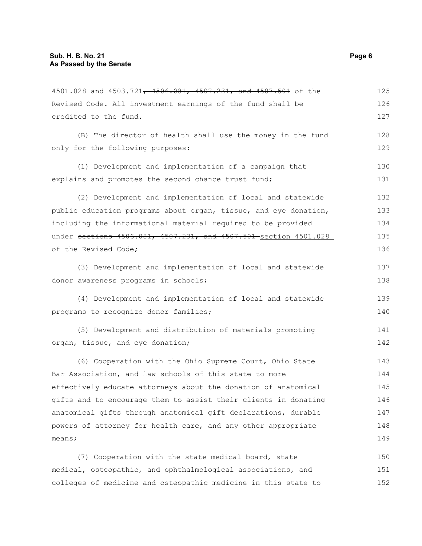| 4501.028 and 4503.721, 4506.081, 4507.231, and 4507.501 of the   | 125 |
|------------------------------------------------------------------|-----|
| Revised Code. All investment earnings of the fund shall be       | 126 |
| credited to the fund.                                            | 127 |
| (B) The director of health shall use the money in the fund       | 128 |
| only for the following purposes:                                 | 129 |
| (1) Development and implementation of a campaign that            | 130 |
| explains and promotes the second chance trust fund;              | 131 |
| (2) Development and implementation of local and statewide        | 132 |
| public education programs about organ, tissue, and eye donation, | 133 |
| including the informational material required to be provided     | 134 |
| under sections 4506.081, 4507.231, and 4507.501 section 4501.028 | 135 |
| of the Revised Code;                                             | 136 |
| (3) Development and implementation of local and statewide        | 137 |
| donor awareness programs in schools;                             | 138 |
| (4) Development and implementation of local and statewide        | 139 |
| programs to recognize donor families;                            | 140 |
| (5) Development and distribution of materials promoting          | 141 |
| organ, tissue, and eye donation;                                 | 142 |
| (6) Cooperation with the Ohio Supreme Court, Ohio State          | 143 |
| Bar Association, and law schools of this state to more           | 144 |
| effectively educate attorneys about the donation of anatomical   | 145 |
| gifts and to encourage them to assist their clients in donating  | 146 |
| anatomical gifts through anatomical gift declarations, durable   | 147 |
| powers of attorney for health care, and any other appropriate    | 148 |
| means;                                                           | 149 |
| (7) Cooperation with the state medical board, state              | 150 |
| medical, osteopathic, and ophthalmological associations, and     | 151 |
| colleges of medicine and osteopathic medicine in this state to   | 152 |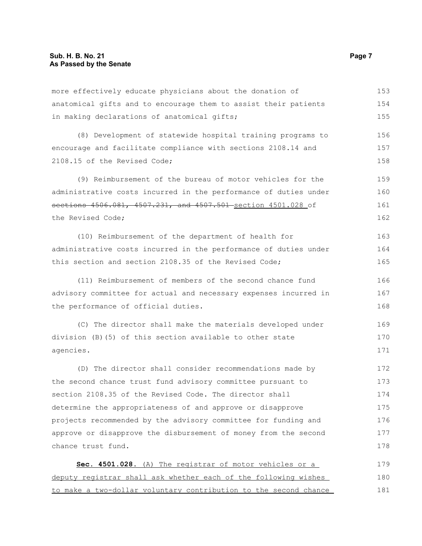more effectively educate physicians about the donation of anatomical gifts and to encourage them to assist their patients in making declarations of anatomical gifts; 153 154 155

(8) Development of statewide hospital training programs to encourage and facilitate compliance with sections 2108.14 and 2108.15 of the Revised Code; 156 157 158

(9) Reimbursement of the bureau of motor vehicles for the administrative costs incurred in the performance of duties under sections 4506.081, 4507.231, and 4507.501 section 4501.028 of the Revised Code; 159 160 161 162

(10) Reimbursement of the department of health for administrative costs incurred in the performance of duties under this section and section 2108.35 of the Revised Code; 163 164 165

(11) Reimbursement of members of the second chance fund advisory committee for actual and necessary expenses incurred in the performance of official duties. 166 167 168

(C) The director shall make the materials developed under division (B)(5) of this section available to other state agencies. 169 170 171

(D) The director shall consider recommendations made by the second chance trust fund advisory committee pursuant to section 2108.35 of the Revised Code. The director shall determine the appropriateness of and approve or disapprove projects recommended by the advisory committee for funding and approve or disapprove the disbursement of money from the second chance trust fund. 172 173 174 175 176 177 178

| Sec. 4501.028. (A) The registrar of motor vehicles or a          | 179 |
|------------------------------------------------------------------|-----|
| deputy registrar shall ask whether each of the following wishes  | 180 |
| to make a two-dollar voluntary contribution to the second chance | 181 |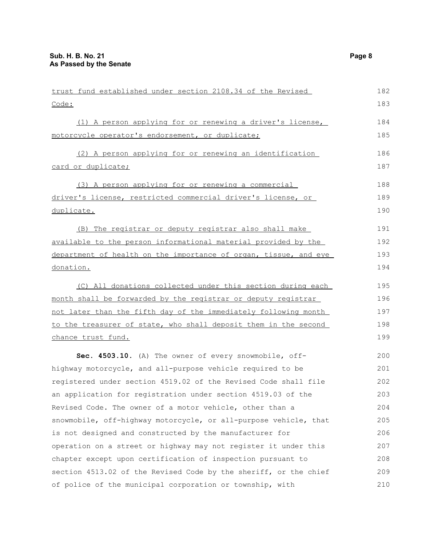| trust fund established under section 2108.34 of the Revised      | 182 |
|------------------------------------------------------------------|-----|
| Code:                                                            | 183 |
| (1) A person applying for or renewing a driver's license,        | 184 |
| motorcycle operator's endorsement, or duplicate;                 | 185 |
| (2) A person applying for or renewing an identification          | 186 |
| card or duplicate;                                               | 187 |
| (3) A person applying for or renewing a commercial               | 188 |
| driver's license, restricted commercial driver's license, or     | 189 |
| duplicate.                                                       | 190 |
| (B) The registrar or deputy registrar also shall make            | 191 |
| available to the person informational material provided by the   | 192 |
| department of health on the importance of organ, tissue, and eye | 193 |
| donation.                                                        | 194 |
| (C) All donations collected under this section during each       | 195 |
| month shall be forwarded by the registrar or deputy registrar    | 196 |
| not later than the fifth day of the immediately following month  | 197 |
| to the treasurer of state, who shall deposit them in the second  | 198 |
| chance trust fund.                                               | 199 |
| Sec. 4503.10. (A) The owner of every snowmobile, off-            | 200 |
| highway motorcycle, and all-purpose vehicle required to be       | 201 |
| registered under section 4519.02 of the Revised Code shall file  | 202 |
| an application for registration under section 4519.03 of the     | 203 |
| Revised Code. The owner of a motor vehicle, other than a         | 204 |
| snowmobile, off-highway motorcycle, or all-purpose vehicle, that | 205 |
| is not designed and constructed by the manufacturer for          | 206 |
| operation on a street or highway may not register it under this  | 207 |
| chapter except upon certification of inspection pursuant to      | 208 |
| section 4513.02 of the Revised Code by the sheriff, or the chief | 209 |
| of police of the municipal corporation or township, with         | 210 |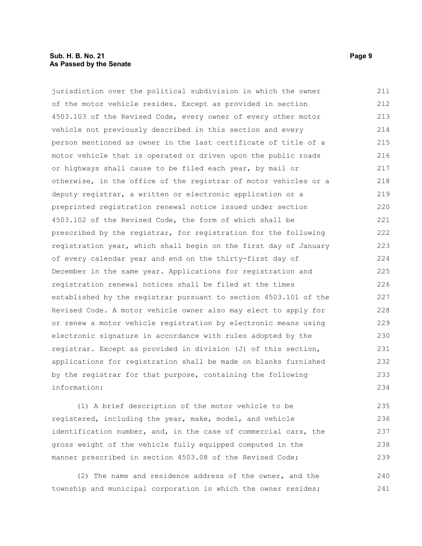#### **Sub. H. B. No. 21 Page 9 As Passed by the Senate**

jurisdiction over the political subdivision in which the owner of the motor vehicle resides. Except as provided in section 4503.103 of the Revised Code, every owner of every other motor vehicle not previously described in this section and every person mentioned as owner in the last certificate of title of a motor vehicle that is operated or driven upon the public roads or highways shall cause to be filed each year, by mail or otherwise, in the office of the registrar of motor vehicles or a deputy registrar, a written or electronic application or a preprinted registration renewal notice issued under section 4503.102 of the Revised Code, the form of which shall be prescribed by the registrar, for registration for the following registration year, which shall begin on the first day of January of every calendar year and end on the thirty-first day of December in the same year. Applications for registration and registration renewal notices shall be filed at the times established by the registrar pursuant to section 4503.101 of the Revised Code. A motor vehicle owner also may elect to apply for or renew a motor vehicle registration by electronic means using electronic signature in accordance with rules adopted by the registrar. Except as provided in division (J) of this section, applications for registration shall be made on blanks furnished by the registrar for that purpose, containing the following information: 211 212 213 214 215 216 217 218 219 220 221 222 223 224 225 226 227 228 229 230 231 232 233 234

(1) A brief description of the motor vehicle to be registered, including the year, make, model, and vehicle identification number, and, in the case of commercial cars, the gross weight of the vehicle fully equipped computed in the manner prescribed in section 4503.08 of the Revised Code; 235 236 237 238 239

(2) The name and residence address of the owner, and the township and municipal corporation in which the owner resides; 240 241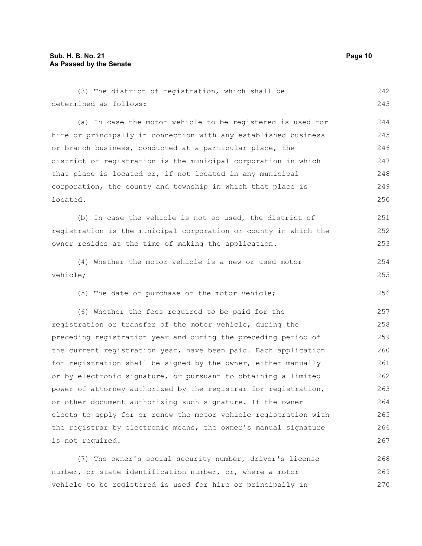| (3) The district of registration, which shall be                 | 242 |
|------------------------------------------------------------------|-----|
| determined as follows:                                           | 243 |
| (a) In case the motor vehicle to be registered is used for       | 244 |
| hire or principally in connection with any established business  | 245 |
| or branch business, conducted at a particular place, the         | 246 |
| district of registration is the municipal corporation in which   | 247 |
| that place is located or, if not located in any municipal        | 248 |
| corporation, the county and township in which that place is      | 249 |
| located.                                                         | 250 |
| (b) In case the vehicle is not so used, the district of          | 251 |
| registration is the municipal corporation or county in which the | 252 |
| owner resides at the time of making the application.             | 253 |
| (4) Whether the motor vehicle is a new or used motor             | 254 |
| vehicle;                                                         | 255 |
| (5) The date of purchase of the motor vehicle;                   | 256 |
| (6) Whether the fees required to be paid for the                 | 257 |
| registration or transfer of the motor vehicle, during the        | 258 |
| preceding registration year and during the preceding period of   | 259 |
| the current registration year, have been paid. Each application  | 260 |
| for registration shall be signed by the owner, either manually   | 261 |
| or by electronic signature, or pursuant to obtaining a limited   | 262 |
| power of attorney authorized by the registrar for registration,  | 263 |
| or other document authorizing such signature. If the owner       | 264 |
| elects to apply for or renew the motor vehicle registration with | 265 |
| the registrar by electronic means, the owner's manual signature  | 266 |
| is not required.                                                 | 267 |
|                                                                  |     |

(7) The owner's social security number, driver's license number, or state identification number, or, where a motor vehicle to be registered is used for hire or principally in 268 269 270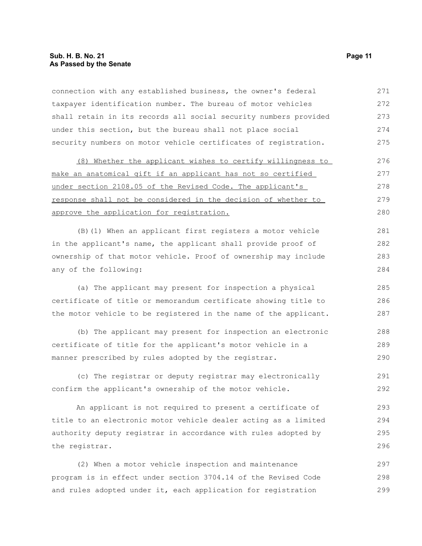connection with any established business, the owner's federal taxpayer identification number. The bureau of motor vehicles shall retain in its records all social security numbers provided under this section, but the bureau shall not place social security numbers on motor vehicle certificates of registration. (8) Whether the applicant wishes to certify willingness to make an anatomical gift if an applicant has not so certified under section 2108.05 of the Revised Code. The applicant's response shall not be considered in the decision of whether to approve the application for registration. (B)(1) When an applicant first registers a motor vehicle in the applicant's name, the applicant shall provide proof of ownership of that motor vehicle. Proof of ownership may include any of the following: (a) The applicant may present for inspection a physical certificate of title or memorandum certificate showing title to the motor vehicle to be registered in the name of the applicant. (b) The applicant may present for inspection an electronic certificate of title for the applicant's motor vehicle in a manner prescribed by rules adopted by the registrar. (c) The registrar or deputy registrar may electronically confirm the applicant's ownership of the motor vehicle. An applicant is not required to present a certificate of title to an electronic motor vehicle dealer acting as a limited authority deputy registrar in accordance with rules adopted by the registrar. 271 272 273 274 275 276 277 278 279 280 281 282 283 284 285 286 287 288 289 290 291 292 293 294 295 296

(2) When a motor vehicle inspection and maintenance program is in effect under section 3704.14 of the Revised Code and rules adopted under it, each application for registration 297 298 299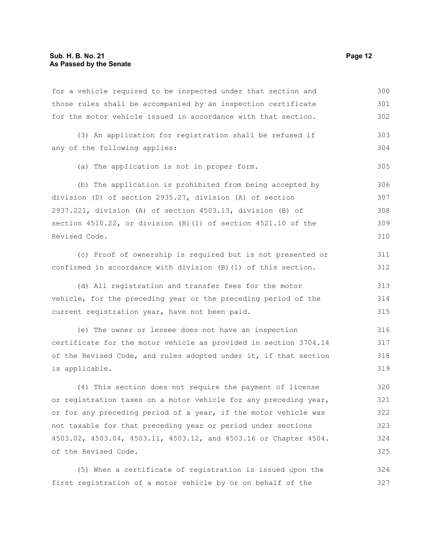for a vehicle required to be inspected under that section and those rules shall be accompanied by an inspection certificate for the motor vehicle issued in accordance with that section. (3) An application for registration shall be refused if any of the following applies: (a) The application is not in proper form. (b) The application is prohibited from being accepted by division (D) of section 2935.27, division (A) of section 2937.221, division (A) of section 4503.13, division (B) of section 4510.22, or division (B)(1) of section 4521.10 of the Revised Code. (c) Proof of ownership is required but is not presented or confirmed in accordance with division (B)(1) of this section. (d) All registration and transfer fees for the motor vehicle, for the preceding year or the preceding period of the current registration year, have not been paid. (e) The owner or lessee does not have an inspection certificate for the motor vehicle as provided in section 3704.14 of the Revised Code, and rules adopted under it, if that section is applicable. (4) This section does not require the payment of license or registration taxes on a motor vehicle for any preceding year, or for any preceding period of a year, if the motor vehicle was 300 301 302 303 304 305 306 307 308 309 310 311 312 313 314 315 316 317 318 319 320 321 322

not taxable for that preceding year or period under sections 4503.02, 4503.04, 4503.11, 4503.12, and 4503.16 or Chapter 4504. of the Revised Code. 323 324 325

(5) When a certificate of registration is issued upon the first registration of a motor vehicle by or on behalf of the 326 327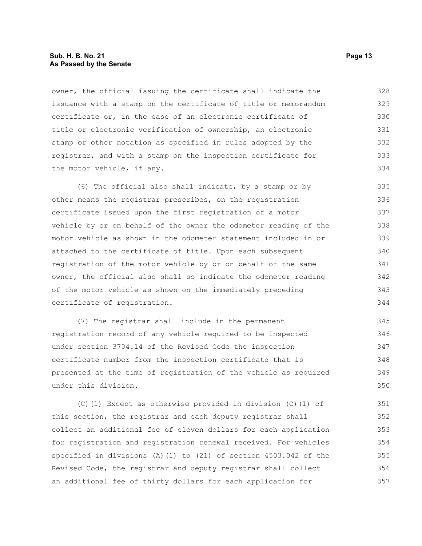#### **Sub. H. B. No. 21 Page 13 As Passed by the Senate**

owner, the official issuing the certificate shall indicate the issuance with a stamp on the certificate of title or memorandum certificate or, in the case of an electronic certificate of title or electronic verification of ownership, an electronic stamp or other notation as specified in rules adopted by the registrar, and with a stamp on the inspection certificate for the motor vehicle, if any. 328 329 330 331 332 333 334

(6) The official also shall indicate, by a stamp or by other means the registrar prescribes, on the registration certificate issued upon the first registration of a motor vehicle by or on behalf of the owner the odometer reading of the motor vehicle as shown in the odometer statement included in or attached to the certificate of title. Upon each subsequent registration of the motor vehicle by or on behalf of the same owner, the official also shall so indicate the odometer reading of the motor vehicle as shown on the immediately preceding certificate of registration. 335 336 337 338 339 340 341 342 343 344

(7) The registrar shall include in the permanent registration record of any vehicle required to be inspected under section 3704.14 of the Revised Code the inspection certificate number from the inspection certificate that is presented at the time of registration of the vehicle as required under this division. 345 346 347 348 349 350

(C)(1) Except as otherwise provided in division (C)(1) of this section, the registrar and each deputy registrar shall collect an additional fee of eleven dollars for each application for registration and registration renewal received. For vehicles specified in divisions (A)(1) to (21) of section 4503.042 of the Revised Code, the registrar and deputy registrar shall collect an additional fee of thirty dollars for each application for 351 352 353 354 355 356 357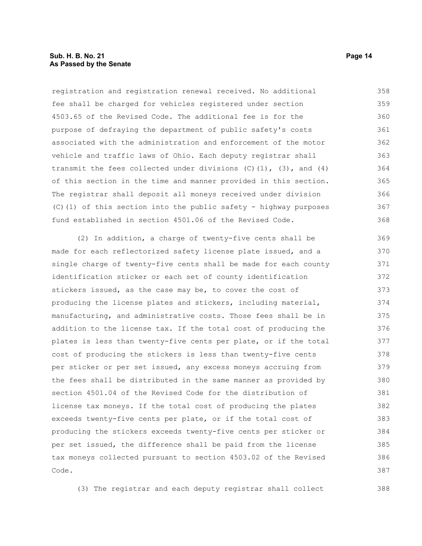registration and registration renewal received. No additional fee shall be charged for vehicles registered under section 4503.65 of the Revised Code. The additional fee is for the purpose of defraying the department of public safety's costs associated with the administration and enforcement of the motor vehicle and traffic laws of Ohio. Each deputy registrar shall transmit the fees collected under divisions  $(C)$   $(1)$ ,  $(3)$ , and  $(4)$ of this section in the time and manner provided in this section. The registrar shall deposit all moneys received under division (C)(1) of this section into the public safety - highway purposes fund established in section 4501.06 of the Revised Code. 358 359 360 361 362 363 364 365 366 367 368

(2) In addition, a charge of twenty-five cents shall be made for each reflectorized safety license plate issued, and a single charge of twenty-five cents shall be made for each county identification sticker or each set of county identification stickers issued, as the case may be, to cover the cost of producing the license plates and stickers, including material, manufacturing, and administrative costs. Those fees shall be in addition to the license tax. If the total cost of producing the plates is less than twenty-five cents per plate, or if the total cost of producing the stickers is less than twenty-five cents per sticker or per set issued, any excess moneys accruing from the fees shall be distributed in the same manner as provided by section 4501.04 of the Revised Code for the distribution of license tax moneys. If the total cost of producing the plates exceeds twenty-five cents per plate, or if the total cost of producing the stickers exceeds twenty-five cents per sticker or per set issued, the difference shall be paid from the license tax moneys collected pursuant to section 4503.02 of the Revised Code. 369 370 371 372 373 374 375 376 377 378 379 380 381 382 383 384 385 386 387

(3) The registrar and each deputy registrar shall collect

388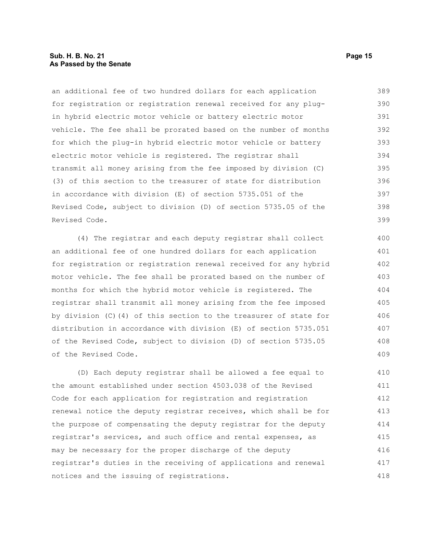#### **Sub. H. B. No. 21 Page 15 As Passed by the Senate**

an additional fee of two hundred dollars for each application for registration or registration renewal received for any plugin hybrid electric motor vehicle or battery electric motor vehicle. The fee shall be prorated based on the number of months for which the plug-in hybrid electric motor vehicle or battery electric motor vehicle is registered. The registrar shall transmit all money arising from the fee imposed by division (C) (3) of this section to the treasurer of state for distribution in accordance with division (E) of section 5735.051 of the Revised Code, subject to division (D) of section 5735.05 of the Revised Code. 389 390 391 392 393 394 395 396 397 398 399

(4) The registrar and each deputy registrar shall collect an additional fee of one hundred dollars for each application for registration or registration renewal received for any hybrid motor vehicle. The fee shall be prorated based on the number of months for which the hybrid motor vehicle is registered. The registrar shall transmit all money arising from the fee imposed by division (C)(4) of this section to the treasurer of state for distribution in accordance with division (E) of section 5735.051 of the Revised Code, subject to division (D) of section 5735.05 of the Revised Code. 400 401 402 403 404 405 406 407 408 409

(D) Each deputy registrar shall be allowed a fee equal to the amount established under section 4503.038 of the Revised Code for each application for registration and registration renewal notice the deputy registrar receives, which shall be for the purpose of compensating the deputy registrar for the deputy registrar's services, and such office and rental expenses, as may be necessary for the proper discharge of the deputy registrar's duties in the receiving of applications and renewal notices and the issuing of registrations. 410 411 412 413 414 415 416 417 418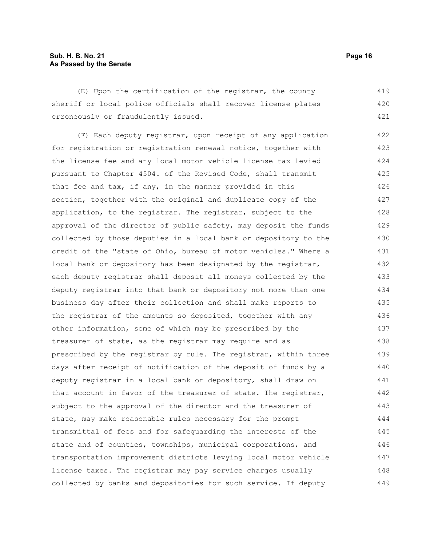#### **Sub. H. B. No. 21 Page 16 As Passed by the Senate**

(E) Upon the certification of the registrar, the county sheriff or local police officials shall recover license plates erroneously or fraudulently issued. 419 420 421

(F) Each deputy registrar, upon receipt of any application for registration or registration renewal notice, together with the license fee and any local motor vehicle license tax levied pursuant to Chapter 4504. of the Revised Code, shall transmit that fee and tax, if any, in the manner provided in this section, together with the original and duplicate copy of the application, to the registrar. The registrar, subject to the approval of the director of public safety, may deposit the funds collected by those deputies in a local bank or depository to the credit of the "state of Ohio, bureau of motor vehicles." Where a local bank or depository has been designated by the registrar, each deputy registrar shall deposit all moneys collected by the deputy registrar into that bank or depository not more than one business day after their collection and shall make reports to the registrar of the amounts so deposited, together with any other information, some of which may be prescribed by the treasurer of state, as the registrar may require and as prescribed by the registrar by rule. The registrar, within three days after receipt of notification of the deposit of funds by a deputy registrar in a local bank or depository, shall draw on that account in favor of the treasurer of state. The registrar, subject to the approval of the director and the treasurer of state, may make reasonable rules necessary for the prompt transmittal of fees and for safeguarding the interests of the state and of counties, townships, municipal corporations, and transportation improvement districts levying local motor vehicle license taxes. The registrar may pay service charges usually collected by banks and depositories for such service. If deputy 422 423 424 425 426 427 428 429 430 431 432 433 434 435 436 437 438 439 440 441 442 443 444 445 446 447 448 449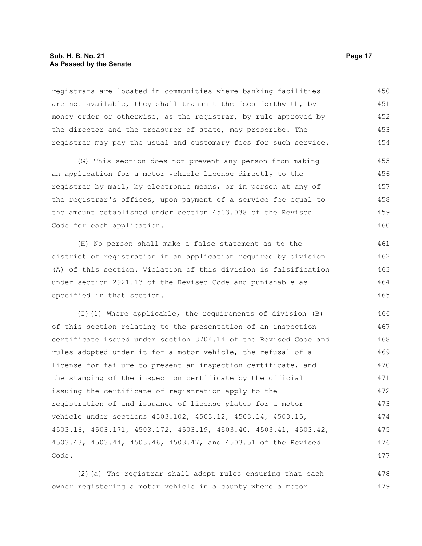#### **Sub. H. B. No. 21 Page 17 As Passed by the Senate**

registrars are located in communities where banking facilities are not available, they shall transmit the fees forthwith, by money order or otherwise, as the registrar, by rule approved by the director and the treasurer of state, may prescribe. The registrar may pay the usual and customary fees for such service. 450 451 452 453 454

(G) This section does not prevent any person from making an application for a motor vehicle license directly to the registrar by mail, by electronic means, or in person at any of the registrar's offices, upon payment of a service fee equal to the amount established under section 4503.038 of the Revised Code for each application. 455 456 457 458 459 460

(H) No person shall make a false statement as to the district of registration in an application required by division (A) of this section. Violation of this division is falsification under section 2921.13 of the Revised Code and punishable as specified in that section.

(I)(1) Where applicable, the requirements of division (B) of this section relating to the presentation of an inspection certificate issued under section 3704.14 of the Revised Code and rules adopted under it for a motor vehicle, the refusal of a license for failure to present an inspection certificate, and the stamping of the inspection certificate by the official issuing the certificate of registration apply to the registration of and issuance of license plates for a motor vehicle under sections 4503.102, 4503.12, 4503.14, 4503.15, 4503.16, 4503.171, 4503.172, 4503.19, 4503.40, 4503.41, 4503.42, 4503.43, 4503.44, 4503.46, 4503.47, and 4503.51 of the Revised Code. 466 467 468 469 470 471 472 473 474 475 476 477

(2)(a) The registrar shall adopt rules ensuring that each owner registering a motor vehicle in a county where a motor 478 479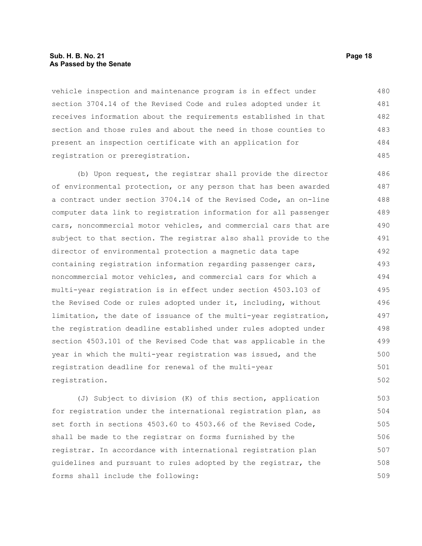#### **Sub. H. B. No. 21 Page 18 As Passed by the Senate**

vehicle inspection and maintenance program is in effect under section 3704.14 of the Revised Code and rules adopted under it receives information about the requirements established in that section and those rules and about the need in those counties to present an inspection certificate with an application for registration or preregistration. 480 481 482 483 484 485

(b) Upon request, the registrar shall provide the director of environmental protection, or any person that has been awarded a contract under section 3704.14 of the Revised Code, an on-line computer data link to registration information for all passenger cars, noncommercial motor vehicles, and commercial cars that are subject to that section. The registrar also shall provide to the director of environmental protection a magnetic data tape containing registration information regarding passenger cars, noncommercial motor vehicles, and commercial cars for which a multi-year registration is in effect under section 4503.103 of the Revised Code or rules adopted under it, including, without limitation, the date of issuance of the multi-year registration, the registration deadline established under rules adopted under section 4503.101 of the Revised Code that was applicable in the year in which the multi-year registration was issued, and the registration deadline for renewal of the multi-year registration. 486 487 488 489 490 491 492 493 494 495 496 497 498 499 500 501 502

(J) Subject to division (K) of this section, application for registration under the international registration plan, as set forth in sections 4503.60 to 4503.66 of the Revised Code, shall be made to the registrar on forms furnished by the registrar. In accordance with international registration plan guidelines and pursuant to rules adopted by the registrar, the forms shall include the following: 503 504 505 506 507 508 509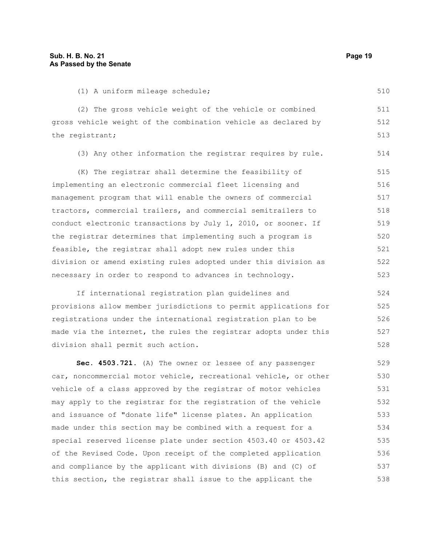510

(1) A uniform mileage schedule;

(2) The gross vehicle weight of the vehicle or combined gross vehicle weight of the combination vehicle as declared by the registrant; 511 512 513

(3) Any other information the registrar requires by rule. 514

(K) The registrar shall determine the feasibility of implementing an electronic commercial fleet licensing and management program that will enable the owners of commercial tractors, commercial trailers, and commercial semitrailers to conduct electronic transactions by July 1, 2010, or sooner. If the registrar determines that implementing such a program is feasible, the registrar shall adopt new rules under this division or amend existing rules adopted under this division as necessary in order to respond to advances in technology. 515 516 517 518 519 520 521 522 523

If international registration plan guidelines and provisions allow member jurisdictions to permit applications for registrations under the international registration plan to be made via the internet, the rules the registrar adopts under this division shall permit such action.

**Sec. 4503.721.** (A) The owner or lessee of any passenger car, noncommercial motor vehicle, recreational vehicle, or other vehicle of a class approved by the registrar of motor vehicles may apply to the registrar for the registration of the vehicle and issuance of "donate life" license plates. An application made under this section may be combined with a request for a special reserved license plate under section 4503.40 or 4503.42 of the Revised Code. Upon receipt of the completed application and compliance by the applicant with divisions (B) and (C) of this section, the registrar shall issue to the applicant the 529 530 531 532 533 534 535 536 537 538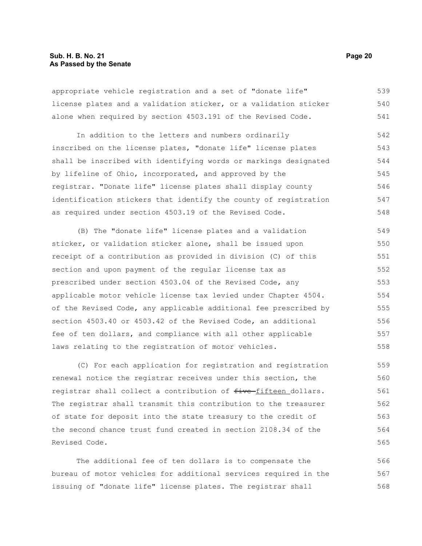#### **Sub. H. B. No. 21 Page 20 As Passed by the Senate**

appropriate vehicle registration and a set of "donate life" license plates and a validation sticker, or a validation sticker alone when required by section 4503.191 of the Revised Code. 539 540 541

In addition to the letters and numbers ordinarily inscribed on the license plates, "donate life" license plates shall be inscribed with identifying words or markings designated by lifeline of Ohio, incorporated, and approved by the registrar. "Donate life" license plates shall display county identification stickers that identify the county of registration as required under section 4503.19 of the Revised Code. 542 543 544 545 546 547 548

(B) The "donate life" license plates and a validation sticker, or validation sticker alone, shall be issued upon receipt of a contribution as provided in division (C) of this section and upon payment of the regular license tax as prescribed under section 4503.04 of the Revised Code, any applicable motor vehicle license tax levied under Chapter 4504. of the Revised Code, any applicable additional fee prescribed by section 4503.40 or 4503.42 of the Revised Code, an additional fee of ten dollars, and compliance with all other applicable laws relating to the registration of motor vehicles. 549 550 551 552 553 554 555 556 557 558

(C) For each application for registration and registration renewal notice the registrar receives under this section, the registrar shall collect a contribution of five fifteen dollars. The registrar shall transmit this contribution to the treasurer of state for deposit into the state treasury to the credit of the second chance trust fund created in section 2108.34 of the Revised Code. 559 560 561 562 563 564 565

The additional fee of ten dollars is to compensate the bureau of motor vehicles for additional services required in the issuing of "donate life" license plates. The registrar shall 566 567 568